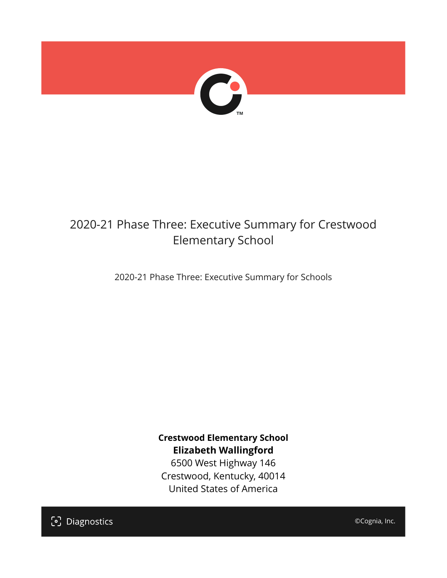

## 2020-21 Phase Three: Executive Summary for Crestwood Elementary School

2020-21 Phase Three: Executive Summary for Schools

**Crestwood Elementary School Elizabeth Wallingford**

6500 West Highway 146 Crestwood, Kentucky, 40014 United States of America

[၁] Diagnostics

©Cognia, Inc.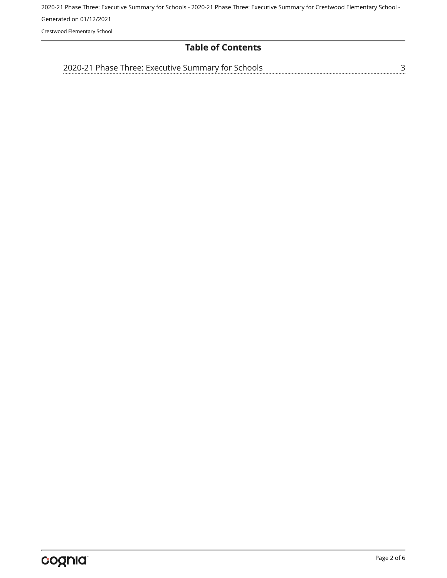Crestwood Elementary School

#### **Table of Contents**

[2020-21 Phase Three: Executive Summary for Schools](#page-2-0)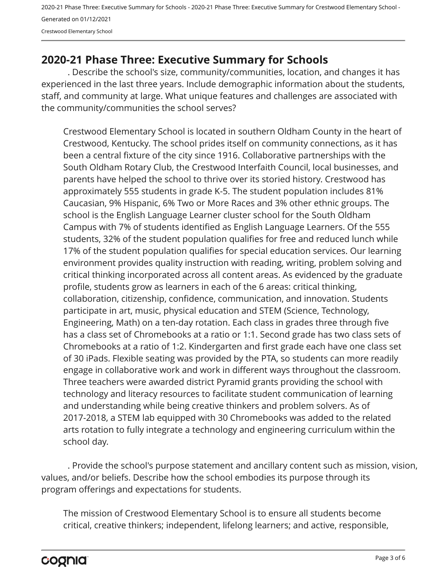### <span id="page-2-0"></span>**2020-21 Phase Three: Executive Summary for Schools**

. Describe the school's size, community/communities, location, and changes it has experienced in the last three years. Include demographic information about the students, staff, and community at large. What unique features and challenges are associated with the community/communities the school serves?

Crestwood Elementary School is located in southern Oldham County in the heart of Crestwood, Kentucky. The school prides itself on community connections, as it has been a central fixture of the city since 1916. Collaborative partnerships with the South Oldham Rotary Club, the Crestwood Interfaith Council, local businesses, and parents have helped the school to thrive over its storied history. Crestwood has approximately 555 students in grade K-5. The student population includes 81% Caucasian, 9% Hispanic, 6% Two or More Races and 3% other ethnic groups. The school is the English Language Learner cluster school for the South Oldham Campus with 7% of students identified as English Language Learners. Of the 555 students, 32% of the student population qualifies for free and reduced lunch while 17% of the student population qualifies for special education services. Our learning environment provides quality instruction with reading, writing, problem solving and critical thinking incorporated across all content areas. As evidenced by the graduate profile, students grow as learners in each of the 6 areas: critical thinking, collaboration, citizenship, confidence, communication, and innovation. Students participate in art, music, physical education and STEM (Science, Technology, Engineering, Math) on a ten-day rotation. Each class in grades three through five has a class set of Chromebooks at a ratio or 1:1. Second grade has two class sets of Chromebooks at a ratio of 1:2. Kindergarten and first grade each have one class set of 30 iPads. Flexible seating was provided by the PTA, so students can more readily engage in collaborative work and work in different ways throughout the classroom. Three teachers were awarded district Pyramid grants providing the school with technology and literacy resources to facilitate student communication of learning and understanding while being creative thinkers and problem solvers. As of 2017-2018, a STEM lab equipped with 30 Chromebooks was added to the related arts rotation to fully integrate a technology and engineering curriculum within the school day.

. Provide the school's purpose statement and ancillary content such as mission, vision, values, and/or beliefs. Describe how the school embodies its purpose through its program offerings and expectations for students.

The mission of Crestwood Elementary School is to ensure all students become critical, creative thinkers; independent, lifelong learners; and active, responsible,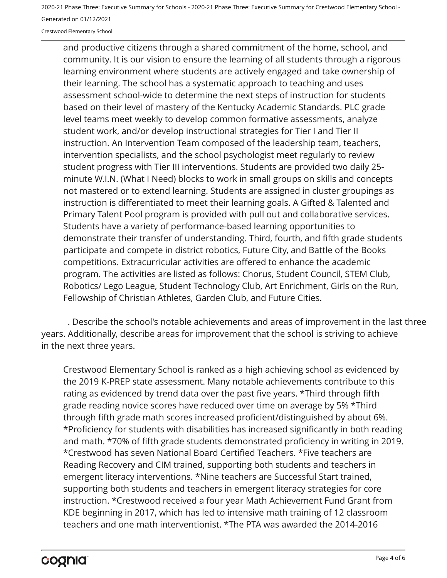Crestwood Elementary School

and productive citizens through a shared commitment of the home, school, and community. It is our vision to ensure the learning of all students through a rigorous learning environment where students are actively engaged and take ownership of their learning. The school has a systematic approach to teaching and uses assessment school-wide to determine the next steps of instruction for students based on their level of mastery of the Kentucky Academic Standards. PLC grade level teams meet weekly to develop common formative assessments, analyze student work, and/or develop instructional strategies for Tier I and Tier II instruction. An Intervention Team composed of the leadership team, teachers, intervention specialists, and the school psychologist meet regularly to review student progress with Tier III interventions. Students are provided two daily 25 minute W.I.N. (What I Need) blocks to work in small groups on skills and concepts not mastered or to extend learning. Students are assigned in cluster groupings as instruction is differentiated to meet their learning goals. A Gifted & Talented and Primary Talent Pool program is provided with pull out and collaborative services. Students have a variety of performance-based learning opportunities to demonstrate their transfer of understanding. Third, fourth, and fifth grade students participate and compete in district robotics, Future City, and Battle of the Books competitions. Extracurricular activities are offered to enhance the academic program. The activities are listed as follows: Chorus, Student Council, STEM Club, Robotics/ Lego League, Student Technology Club, Art Enrichment, Girls on the Run, Fellowship of Christian Athletes, Garden Club, and Future Cities.

. Describe the school's notable achievements and areas of improvement in the last three years. Additionally, describe areas for improvement that the school is striving to achieve in the next three years.

Crestwood Elementary School is ranked as a high achieving school as evidenced by the 2019 K-PREP state assessment. Many notable achievements contribute to this rating as evidenced by trend data over the past five years. \*Third through fifth grade reading novice scores have reduced over time on average by 5% \*Third through fifth grade math scores increased proficient/distinguished by about 6%. \*Proficiency for students with disabilities has increased significantly in both reading and math. \*70% of fifth grade students demonstrated proficiency in writing in 2019. \*Crestwood has seven National Board Certified Teachers. \*Five teachers are Reading Recovery and CIM trained, supporting both students and teachers in emergent literacy interventions. \*Nine teachers are Successful Start trained, supporting both students and teachers in emergent literacy strategies for core instruction. \*Crestwood received a four year Math Achievement Fund Grant from KDE beginning in 2017, which has led to intensive math training of 12 classroom teachers and one math interventionist. \*The PTA was awarded the 2014-2016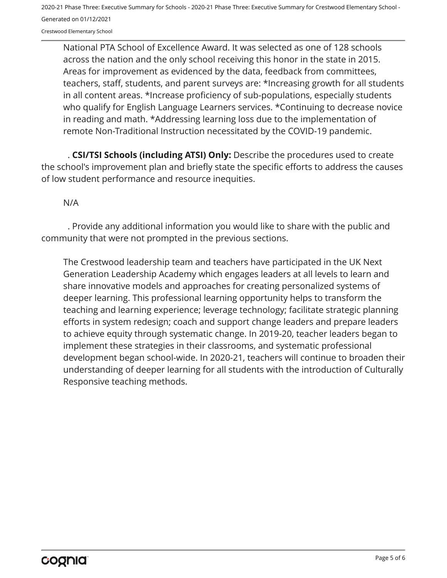Crestwood Elementary School

National PTA School of Excellence Award. It was selected as one of 128 schools across the nation and the only school receiving this honor in the state in 2015. Areas for improvement as evidenced by the data, feedback from committees, teachers, staff, students, and parent surveys are: \*Increasing growth for all students in all content areas. \*Increase proficiency of sub-populations, especially students who qualify for English Language Learners services. \*Continuing to decrease novice in reading and math. \*Addressing learning loss due to the implementation of remote Non-Traditional Instruction necessitated by the COVID-19 pandemic.

. **CSI/TSI Schools (including ATSI) Only:** Describe the procedures used to create the school's improvement plan and briefly state the specific efforts to address the causes of low student performance and resource inequities.

#### N/A

. Provide any additional information you would like to share with the public and community that were not prompted in the previous sections.

The Crestwood leadership team and teachers have participated in the UK Next Generation Leadership Academy which engages leaders at all levels to learn and share innovative models and approaches for creating personalized systems of deeper learning. This professional learning opportunity helps to transform the teaching and learning experience; leverage technology; facilitate strategic planning efforts in system redesign; coach and support change leaders and prepare leaders to achieve equity through systematic change. In 2019-20, teacher leaders began to implement these strategies in their classrooms, and systematic professional development began school-wide. In 2020-21, teachers will continue to broaden their understanding of deeper learning for all students with the introduction of Culturally Responsive teaching methods.